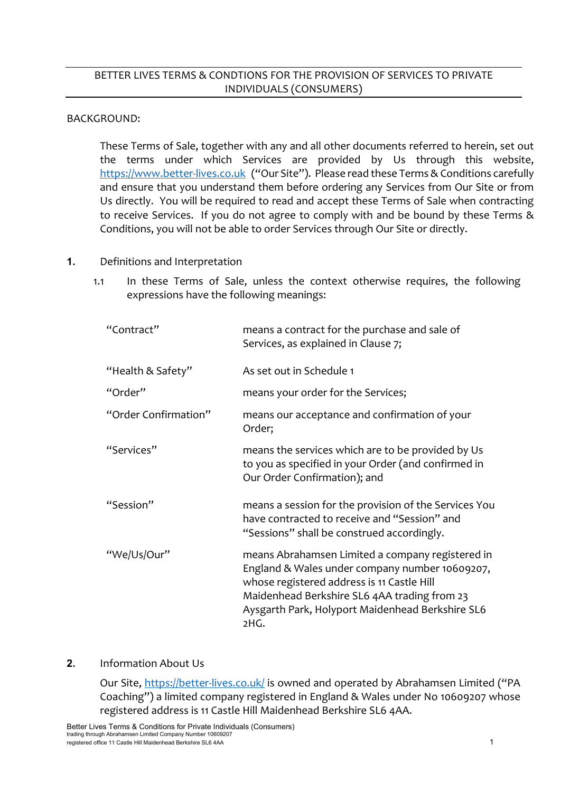# BETTER LIVES TERMS & CONDTIONS FOR THE PROVISION OF SERVICES TO PRIVATE INDIVIDUALS (CONSUMERS)

### BACKGROUND:

These Terms of Sale, together with any and all other documents referred to herein, set out the terms under which Services are provided by Us through this website, [https://www.better-lives.co.uk](https://www.better-lives.co.uk/) ("Our Site"). Please read these Terms & Conditions carefully and ensure that you understand them before ordering any Services from Our Site or from Us directly. You will be required to read and accept these Terms of Sale when contracting to receive Services. If you do not agree to comply with and be bound by these Terms & Conditions, you will not be able to order Services through Our Site or directly.

### **1.** Definitions and Interpretation

1.1 In these Terms of Sale, unless the context otherwise requires, the following expressions have the following meanings:

| "Contract"           | means a contract for the purchase and sale of<br>Services, as explained in Clause 7;                                                                                                                                                                         |
|----------------------|--------------------------------------------------------------------------------------------------------------------------------------------------------------------------------------------------------------------------------------------------------------|
| "Health & Safety"    | As set out in Schedule 1                                                                                                                                                                                                                                     |
| "Order"              | means your order for the Services;                                                                                                                                                                                                                           |
| "Order Confirmation" | means our acceptance and confirmation of your<br>Order;                                                                                                                                                                                                      |
| "Services"           | means the services which are to be provided by Us<br>to you as specified in your Order (and confirmed in<br>Our Order Confirmation); and                                                                                                                     |
| "Session"            | means a session for the provision of the Services You<br>have contracted to receive and "Session" and<br>"Sessions" shall be construed accordingly.                                                                                                          |
| "We/Us/Our"          | means Abrahamsen Limited a company registered in<br>England & Wales under company number 10609207,<br>whose registered address is 11 Castle Hill<br>Maidenhead Berkshire SL6 4AA trading from 23<br>Aysgarth Park, Holyport Maidenhead Berkshire SL6<br>2HG. |

## **2.** Information About Us

Our Site,<https://better-lives.co.uk/> is owned and operated by Abrahamsen Limited ("PA Coaching") a limited company registered in England & Wales under No 10609207 whose registered address is 11 Castle Hill Maidenhead Berkshire SL6 4AA.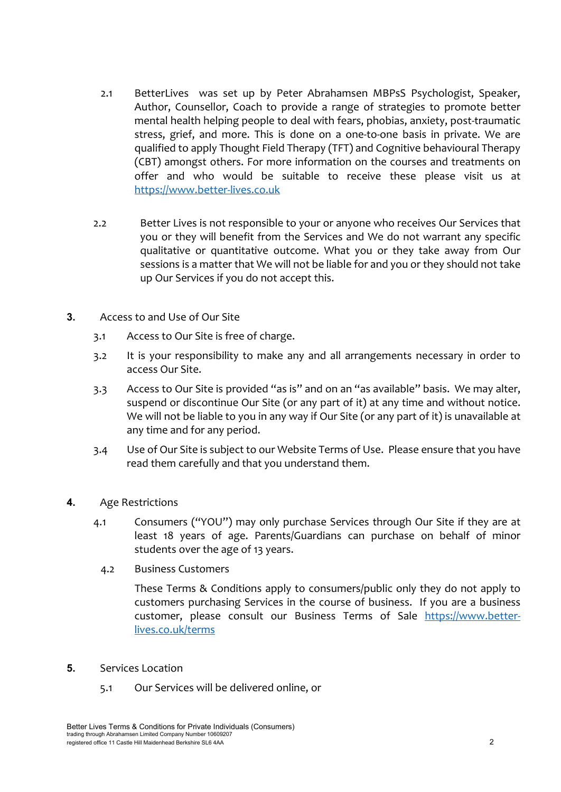- 2.1 BetterLives was set up by Peter Abrahamsen MBPsS Psychologist, Speaker, Author, Counsellor, Coach to provide a range of strategies to promote better mental health helping people to deal with fears, phobias, anxiety, post-traumatic stress, grief, and more. This is done on a one-to-one basis in private. We are qualified to apply Thought Field Therapy (TFT) and Cognitive behavioural Therapy (CBT) amongst others. For more information on the courses and treatments on offer and who would be suitable to receive these please visit us at [https://www.better-lives.co.uk](https://www.better-lives.co.uk/)
- 2.2 Better Lives is not responsible to your or anyone who receives Our Services that you or they will benefit from the Services and We do not warrant any specific qualitative or quantitative outcome. What you or they take away from Our sessions is a matter that We will not be liable for and you or they should not take up Our Services if you do not accept this.
- **3.** Access to and Use of Our Site
	- 3.1 Access to Our Site is free of charge.
	- 3.2 It is your responsibility to make any and all arrangements necessary in order to access Our Site.
	- 3.3 Access to Our Site is provided "as is" and on an "as available" basis. We may alter, suspend or discontinue Our Site (or any part of it) at any time and without notice. We will not be liable to you in any way if Our Site (or any part of it) is unavailable at any time and for any period.
	- 3.4 Use of Our Site is subject to our Website Terms of Use. Please ensure that you have read them carefully and that you understand them.
- **4.** Age Restrictions
	- 4.1 Consumers ("YOU") may only purchase Services through Our Site if they are at least 18 years of age. Parents/Guardians can purchase on behalf of minor students over the age of 13 years.
		- 4.2 Business Customers

These Terms & Conditions apply to consumers/public only they do not apply to customers purchasing Services in the course of business. If you are a business customer, please consult our Business Terms of Sale [https://www.better](https://www.better-lives.co.uk/terms)[lives.co.uk/terms](https://www.better-lives.co.uk/terms)

- **5.** Services Location
	- 5.1 Our Services will be delivered online, or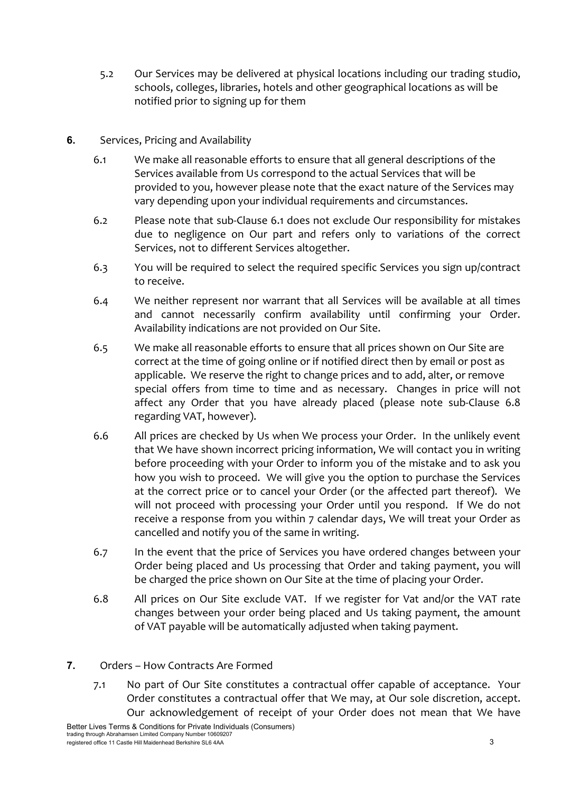- 5.2 Our Services may be delivered at physical locations including our trading studio, schools, colleges, libraries, hotels and other geographical locations as will be notified prior to signing up for them
- **6.** Services, Pricing and Availability
	- 6.1 We make all reasonable efforts to ensure that all general descriptions of the Services available from Us correspond to the actual Services that will be provided to you, however please note that the exact nature of the Services may vary depending upon your individual requirements and circumstances.
	- 6.2 Please note that sub-Clause 6.1 does not exclude Our responsibility for mistakes due to negligence on Our part and refers only to variations of the correct Services, not to different Services altogether.
	- 6.3 You will be required to select the required specific Services you sign up/contract to receive.
	- 6.4 We neither represent nor warrant that all Services will be available at all times and cannot necessarily confirm availability until confirming your Order. Availability indications are not provided on Our Site.
	- 6.5 We make all reasonable efforts to ensure that all prices shown on Our Site are correct at the time of going online or if notified direct then by email or post as applicable. We reserve the right to change prices and to add, alter, or remove special offers from time to time and as necessary. Changes in price will not affect any Order that you have already placed (please note sub-Clause 6.8 regarding VAT, however).
	- 6.6 All prices are checked by Us when We process your Order. In the unlikely event that We have shown incorrect pricing information, We will contact you in writing before proceeding with your Order to inform you of the mistake and to ask you how you wish to proceed. We will give you the option to purchase the Services at the correct price or to cancel your Order (or the affected part thereof). We will not proceed with processing your Order until you respond. If We do not receive a response from you within 7 calendar days, We will treat your Order as cancelled and notify you of the same in writing.
	- 6.7 In the event that the price of Services you have ordered changes between your Order being placed and Us processing that Order and taking payment, you will be charged the price shown on Our Site at the time of placing your Order.
	- 6.8 All prices on Our Site exclude VAT. If we register for Vat and/or the VAT rate changes between your order being placed and Us taking payment, the amount of VAT payable will be automatically adjusted when taking payment.
- **7.** Orders How Contracts Are Formed
	- 7.1 No part of Our Site constitutes a contractual offer capable of acceptance. Your Order constitutes a contractual offer that We may, at Our sole discretion, accept. Our acknowledgement of receipt of your Order does not mean that We have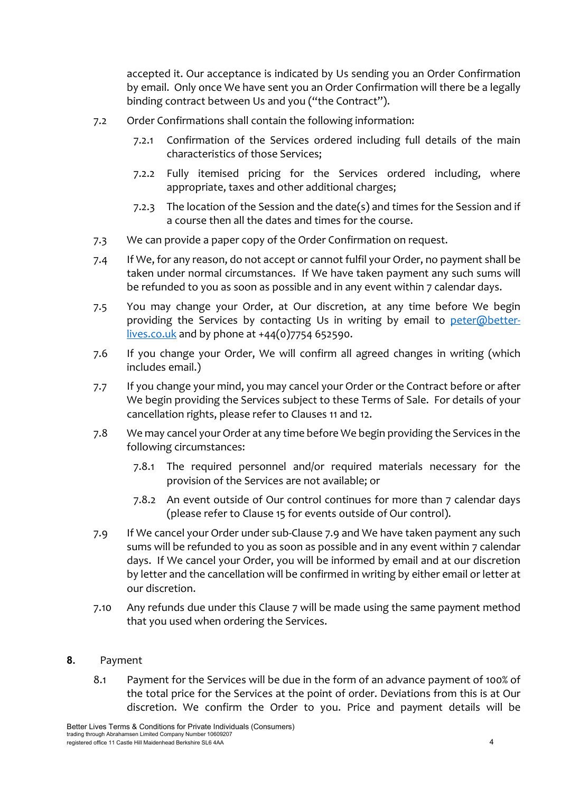accepted it. Our acceptance is indicated by Us sending you an Order Confirmation by email. Only once We have sent you an Order Confirmation will there be a legally binding contract between Us and you ("the Contract").

- 7.2 Order Confirmations shall contain the following information:
	- 7.2.1 Confirmation of the Services ordered including full details of the main characteristics of those Services;
	- 7.2.2 Fully itemised pricing for the Services ordered including, where appropriate, taxes and other additional charges;
	- 7.2.3 The location of the Session and the date(s) and times for the Session and if a course then all the dates and times for the course.
- 7.3 We can provide a paper copy of the Order Confirmation on request.
- 7.4 If We, for any reason, do not accept or cannot fulfil your Order, no payment shall be taken under normal circumstances. If We have taken payment any such sums will be refunded to you as soon as possible and in any event within 7 calendar days.
- 7.5 You may change your Order, at Our discretion, at any time before We begin providing the Services by contacting Us in writing by email to [peter@better](mailto:peter@better-lives.co.uk)[lives.co.uk](mailto:peter@better-lives.co.uk) and by phone at +44(0)7754 652590.
- 7.6 If you change your Order, We will confirm all agreed changes in writing (which includes email.)
- 7.7 If you change your mind, you may cancel your Order or the Contract before or after We begin providing the Services subject to these Terms of Sale. For details of your cancellation rights, please refer to Clauses 11 and 12.
- 7.8 We may cancel your Order at any time before We begin providing the Services in the following circumstances:
	- 7.8.1 The required personnel and/or required materials necessary for the provision of the Services are not available; or
	- 7.8.2 An event outside of Our control continues for more than 7 calendar days (please refer to Clause 15 for events outside of Our control).
- 7.9 If We cancel your Order under sub-Clause 7.9 and We have taken payment any such sums will be refunded to you as soon as possible and in any event within 7 calendar days. If We cancel your Order, you will be informed by email and at our discretion by letter and the cancellation will be confirmed in writing by either email or letter at our discretion.
- 7.10 Any refunds due under this Clause 7 will be made using the same payment method that you used when ordering the Services.

## **8.** Payment

8.1 Payment for the Services will be due in the form of an advance payment of 100% of the total price for the Services at the point of order. Deviations from this is at Our discretion. We confirm the Order to you. Price and payment details will be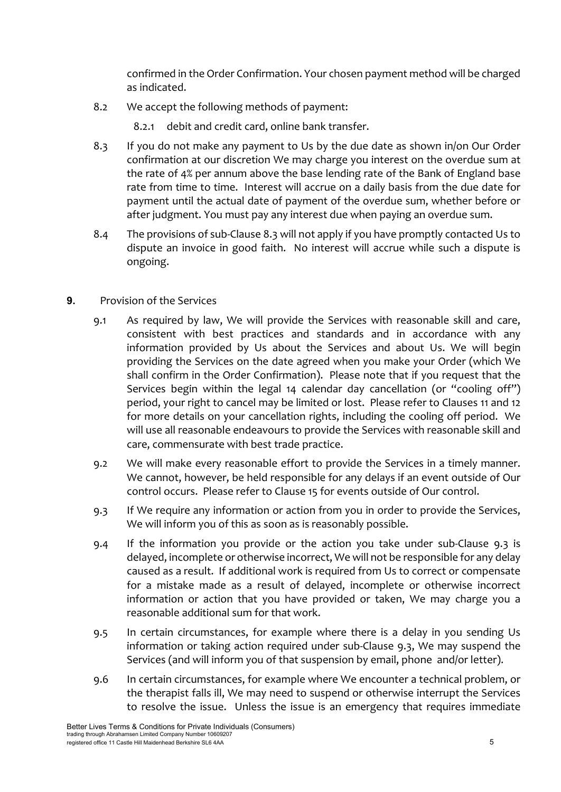confirmed in the Order Confirmation. Your chosen payment method will be charged as indicated.

- 8.2 We accept the following methods of payment:
	- 8.2.1 debit and credit card, online bank transfer.
- 8.3 If you do not make any payment to Us by the due date as shown in/on Our Order confirmation at our discretion We may charge you interest on the overdue sum at the rate of 4% per annum above the base lending rate of the Bank of England base rate from time to time. Interest will accrue on a daily basis from the due date for payment until the actual date of payment of the overdue sum, whether before or after judgment. You must pay any interest due when paying an overdue sum.
- 8.4 The provisions of sub-Clause 8.3 will not apply if you have promptly contacted Us to dispute an invoice in good faith. No interest will accrue while such a dispute is ongoing.
- **9.** Provision of the Services
	- 9.1 As required by law, We will provide the Services with reasonable skill and care, consistent with best practices and standards and in accordance with any information provided by Us about the Services and about Us. We will begin providing the Services on the date agreed when you make your Order (which We shall confirm in the Order Confirmation). Please note that if you request that the Services begin within the legal 14 calendar day cancellation (or "cooling off") period, your right to cancel may be limited or lost. Please refer to Clauses 11 and 12 for more details on your cancellation rights, including the cooling off period. We will use all reasonable endeavours to provide the Services with reasonable skill and care, commensurate with best trade practice.
	- 9.2 We will make every reasonable effort to provide the Services in a timely manner. We cannot, however, be held responsible for any delays if an event outside of Our control occurs. Please refer to Clause 15 for events outside of Our control.
	- 9.3 If We require any information or action from you in order to provide the Services, We will inform you of this as soon as is reasonably possible.
	- 9.4 If the information you provide or the action you take under sub-Clause 9.3 is delayed, incomplete or otherwise incorrect, We will not be responsible for any delay caused as a result. If additional work is required from Us to correct or compensate for a mistake made as a result of delayed, incomplete or otherwise incorrect information or action that you have provided or taken, We may charge you a reasonable additional sum for that work.
	- 9.5 In certain circumstances, for example where there is a delay in you sending Us information or taking action required under sub-Clause 9.3, We may suspend the Services (and will inform you of that suspension by email, phone and/or letter).
	- 9.6 In certain circumstances, for example where We encounter a technical problem, or the therapist falls ill, We may need to suspend or otherwise interrupt the Services to resolve the issue. Unless the issue is an emergency that requires immediate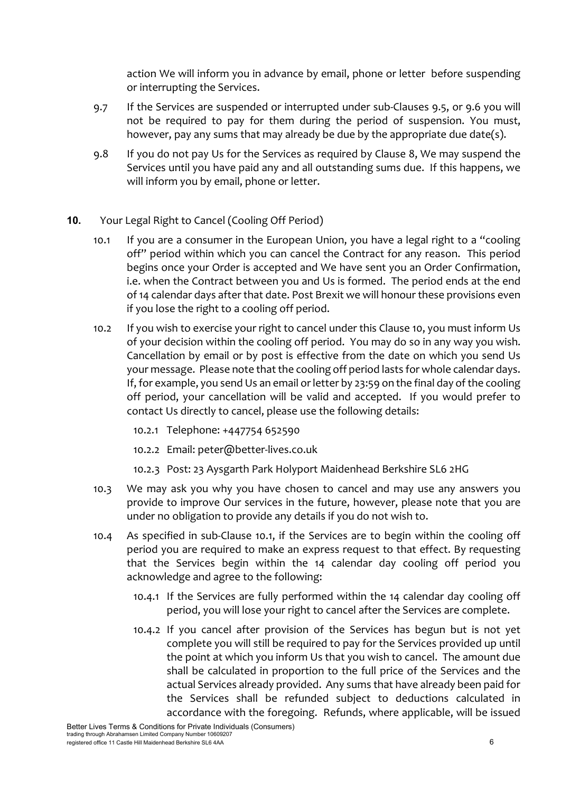action We will inform you in advance by email, phone or letter before suspending or interrupting the Services.

- 9.7 If the Services are suspended or interrupted under sub-Clauses 9.5, or 9.6 you will not be required to pay for them during the period of suspension. You must, however, pay any sums that may already be due by the appropriate due date(s).
- 9.8 If you do not pay Us for the Services as required by Clause 8, We may suspend the Services until you have paid any and all outstanding sums due. If this happens, we will inform you by email, phone or letter.
- **10.** Your Legal Right to Cancel (Cooling Off Period)
	- 10.1 If you are a consumer in the European Union, you have a legal right to a "cooling off" period within which you can cancel the Contract for any reason. This period begins once your Order is accepted and We have sent you an Order Confirmation, i.e. when the Contract between you and Us is formed. The period ends at the end of 14 calendar days after that date. Post Brexit we will honour these provisions even if you lose the right to a cooling off period.
	- 10.2 If you wish to exercise your right to cancel under this Clause 10, you must inform Us of your decision within the cooling off period. You may do so in any way you wish. Cancellation by email or by post is effective from the date on which you send Us your message. Please note that the cooling off period lasts for whole calendar days. If, for example, you send Us an email or letter by 23:59 on the final day of the cooling off period, your cancellation will be valid and accepted. If you would prefer to contact Us directly to cancel, please use the following details:
		- 10.2.1 Telephone: +447754 652590
		- 10.2.2 Email: peter@better-lives.co.uk
		- 10.2.3 Post: 23 Aysgarth Park Holyport Maidenhead Berkshire SL6 2HG
	- 10.3 We may ask you why you have chosen to cancel and may use any answers you provide to improve Our services in the future, however, please note that you are under no obligation to provide any details if you do not wish to.
	- 10.4 As specified in sub-Clause 10.1, if the Services are to begin within the cooling off period you are required to make an express request to that effect. By requesting that the Services begin within the 14 calendar day cooling off period you acknowledge and agree to the following:
		- 10.4.1 If the Services are fully performed within the 14 calendar day cooling off period, you will lose your right to cancel after the Services are complete.
		- 10.4.2 If you cancel after provision of the Services has begun but is not yet complete you will still be required to pay for the Services provided up until the point at which you inform Us that you wish to cancel. The amount due shall be calculated in proportion to the full price of the Services and the actual Services already provided. Any sums that have already been paid for the Services shall be refunded subject to deductions calculated in accordance with the foregoing. Refunds, where applicable, will be issued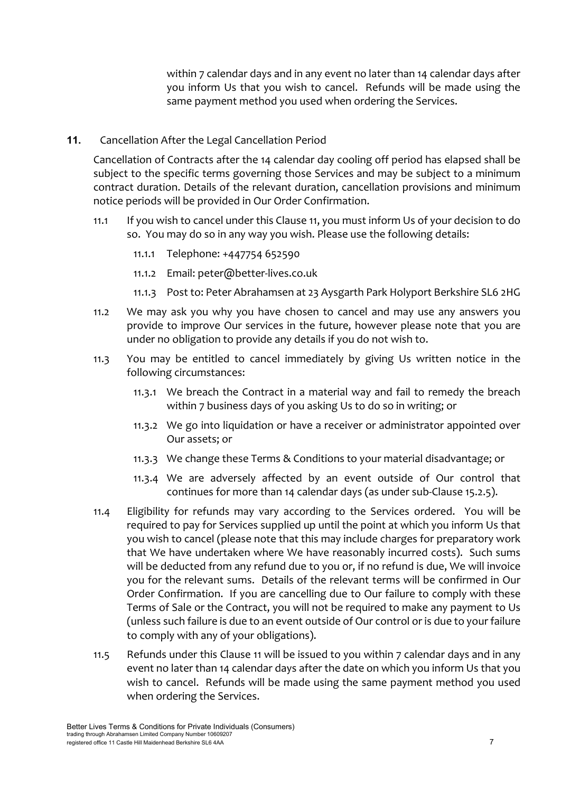within 7 calendar days and in any event no later than 14 calendar days after you inform Us that you wish to cancel. Refunds will be made using the same payment method you used when ordering the Services.

**11.** Cancellation After the Legal Cancellation Period

Cancellation of Contracts after the 14 calendar day cooling off period has elapsed shall be subject to the specific terms governing those Services and may be subject to a minimum contract duration. Details of the relevant duration, cancellation provisions and minimum notice periods will be provided in Our Order Confirmation.

- 11.1 If you wish to cancel under this Clause 11, you must inform Us of your decision to do so. You may do so in any way you wish. Please use the following details:
	- 11.1.1 Telephone: +447754 652590
	- 11.1.2 Email: peter@better-lives.co.uk
	- 11.1.3 Post to: Peter Abrahamsen at 23 Aysgarth Park Holyport Berkshire SL6 2HG
- 11.2 We may ask you why you have chosen to cancel and may use any answers you provide to improve Our services in the future, however please note that you are under no obligation to provide any details if you do not wish to.
- 11.3 You may be entitled to cancel immediately by giving Us written notice in the following circumstances:
	- 11.3.1 We breach the Contract in a material way and fail to remedy the breach within 7 business days of you asking Us to do so in writing; or
	- 11.3.2 We go into liquidation or have a receiver or administrator appointed over Our assets; or
	- 11.3.3 We change these Terms & Conditions to your material disadvantage; or
	- 11.3.4 We are adversely affected by an event outside of Our control that continues for more than 14 calendar days (as under sub-Clause 15.2.5).
- 11.4 Eligibility for refunds may vary according to the Services ordered. You will be required to pay for Services supplied up until the point at which you inform Us that you wish to cancel (please note that this may include charges for preparatory work that We have undertaken where We have reasonably incurred costs). Such sums will be deducted from any refund due to you or, if no refund is due, We will invoice you for the relevant sums. Details of the relevant terms will be confirmed in Our Order Confirmation. If you are cancelling due to Our failure to comply with these Terms of Sale or the Contract, you will not be required to make any payment to Us (unless such failure is due to an event outside of Our control or is due to your failure to comply with any of your obligations).
- 11.5 Refunds under this Clause 11 will be issued to you within 7 calendar days and in any event no later than 14 calendar days after the date on which you inform Us that you wish to cancel. Refunds will be made using the same payment method you used when ordering the Services.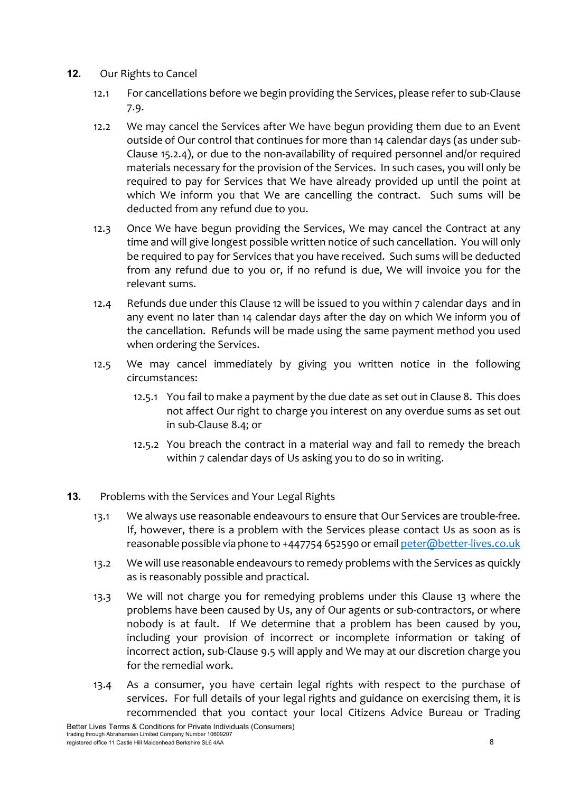- **12.** Our Rights to Cancel
	- 12.1 For cancellations before we begin providing the Services, please refer to sub-Clause 7.9.
	- 12.2 We may cancel the Services after We have begun providing them due to an Event outside of Our control that continues for more than 14 calendar days (as under sub-Clause 15.2.4), or due to the non-availability of required personnel and/or required materials necessary for the provision of the Services. In such cases, you will only be required to pay for Services that We have already provided up until the point at which We inform you that We are cancelling the contract. Such sums will be deducted from any refund due to you.
	- 12.3 Once We have begun providing the Services, We may cancel the Contract at any time and will give longest possible written notice of such cancellation. You will only be required to pay for Services that you have received. Such sums will be deducted from any refund due to you or, if no refund is due, We will invoice you for the relevant sums.
	- 12.4 Refunds due under this Clause 12 will be issued to you within 7 calendar days and in any event no later than 14 calendar days after the day on which We inform you of the cancellation. Refunds will be made using the same payment method you used when ordering the Services.
	- 12.5 We may cancel immediately by giving you written notice in the following circumstances:
		- 12.5.1 You fail to make a payment by the due date as set out in Clause 8. This does not affect Our right to charge you interest on any overdue sums as set out in sub-Clause 8.4; or
		- 12.5.2 You breach the contract in a material way and fail to remedy the breach within 7 calendar days of Us asking you to do so in writing.
- **13.** Problems with the Services and Your Legal Rights
	- 13.1 We always use reasonable endeavours to ensure that Our Services are trouble-free. If, however, there is a problem with the Services please contact Us as soon as is reasonable possible via phone to +447754 652590 or emai[l peter@better-lives.co.uk](mailto:peter@better-lives.co.uk)
	- 13.2 We will use reasonable endeavours to remedy problems with the Services as quickly as is reasonably possible and practical.
	- 13.3 We will not charge you for remedying problems under this Clause 13 where the problems have been caused by Us, any of Our agents or sub-contractors, or where nobody is at fault. If We determine that a problem has been caused by you, including your provision of incorrect or incomplete information or taking of incorrect action, sub-Clause 9.5 will apply and We may at our discretion charge you for the remedial work.
	- 13.4 As a consumer, you have certain legal rights with respect to the purchase of services. For full details of your legal rights and guidance on exercising them, it is recommended that you contact your local Citizens Advice Bureau or Trading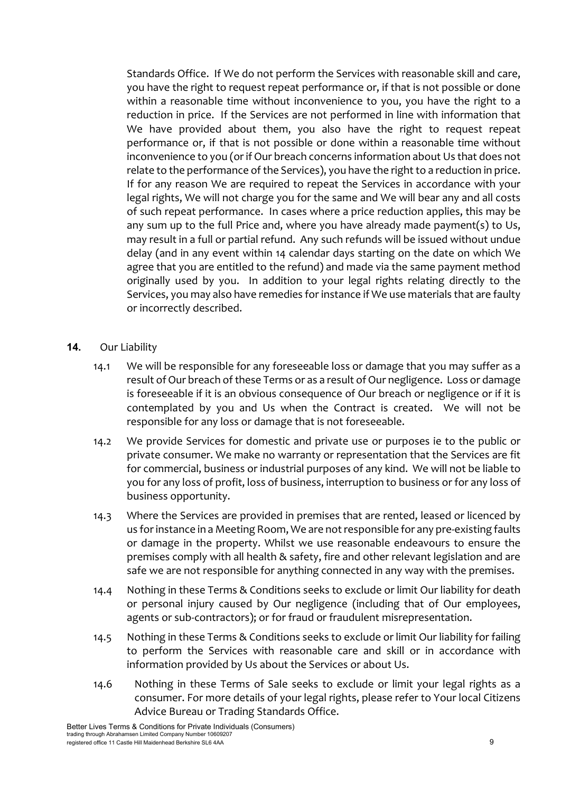Standards Office. If We do not perform the Services with reasonable skill and care, you have the right to request repeat performance or, if that is not possible or done within a reasonable time without inconvenience to you, you have the right to a reduction in price. If the Services are not performed in line with information that We have provided about them, you also have the right to request repeat performance or, if that is not possible or done within a reasonable time without inconvenience to you (or if Our breach concerns information about Us that does not relate to the performance of the Services), you have the right to a reduction in price. If for any reason We are required to repeat the Services in accordance with your legal rights, We will not charge you for the same and We will bear any and all costs of such repeat performance. In cases where a price reduction applies, this may be any sum up to the full Price and, where you have already made payment(s) to Us, may result in a full or partial refund. Any such refunds will be issued without undue delay (and in any event within 14 calendar days starting on the date on which We agree that you are entitled to the refund) and made via the same payment method originally used by you. In addition to your legal rights relating directly to the Services, you may also have remedies for instance if We use materials that are faulty or incorrectly described.

- **14.** Our Liability
	- 14.1 We will be responsible for any foreseeable loss or damage that you may suffer as a result of Our breach of these Terms or as a result of Our negligence. Loss or damage is foreseeable if it is an obvious consequence of Our breach or negligence or if it is contemplated by you and Us when the Contract is created. We will not be responsible for any loss or damage that is not foreseeable.
	- 14.2 We provide Services for domestic and private use or purposes ie to the public or private consumer. We make no warranty or representation that the Services are fit for commercial, business or industrial purposes of any kind. We will not be liable to you for any loss of profit, loss of business, interruption to business or for any loss of business opportunity.
	- 14.3 Where the Services are provided in premises that are rented, leased or licenced by us for instance in a Meeting Room, We are not responsible for any pre-existing faults or damage in the property. Whilst we use reasonable endeavours to ensure the premises comply with all health & safety, fire and other relevant legislation and are safe we are not responsible for anything connected in any way with the premises.
	- 14.4 Nothing in these Terms & Conditions seeks to exclude or limit Our liability for death or personal injury caused by Our negligence (including that of Our employees, agents or sub-contractors); or for fraud or fraudulent misrepresentation.
	- 14.5 Nothing in these Terms & Conditions seeks to exclude or limit Our liability for failing to perform the Services with reasonable care and skill or in accordance with information provided by Us about the Services or about Us.
	- 14.6 Nothing in these Terms of Sale seeks to exclude or limit your legal rights as a consumer. For more details of your legal rights, please refer to Your local Citizens Advice Bureau or Trading Standards Office.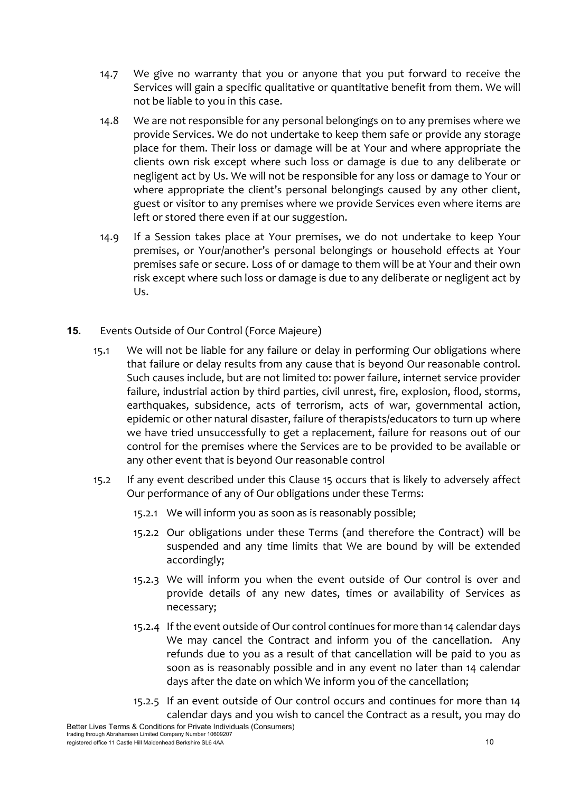- 14.7 We give no warranty that you or anyone that you put forward to receive the Services will gain a specific qualitative or quantitative benefit from them. We will not be liable to you in this case.
- 14.8 We are not responsible for any personal belongings on to any premises where we provide Services. We do not undertake to keep them safe or provide any storage place for them. Their loss or damage will be at Your and where appropriate the clients own risk except where such loss or damage is due to any deliberate or negligent act by Us. We will not be responsible for any loss or damage to Your or where appropriate the client's personal belongings caused by any other client, guest or visitor to any premises where we provide Services even where items are left or stored there even if at our suggestion.
- 14.9 If a Session takes place at Your premises, we do not undertake to keep Your premises, or Your/another's personal belongings or household effects at Your premises safe or secure. Loss of or damage to them will be at Your and their own risk except where such loss or damage is due to any deliberate or negligent act by Us.
- **15.** Events Outside of Our Control (Force Majeure)
	- 15.1 We will not be liable for any failure or delay in performing Our obligations where that failure or delay results from any cause that is beyond Our reasonable control. Such causes include, but are not limited to: power failure, internet service provider failure, industrial action by third parties, civil unrest, fire, explosion, flood, storms, earthquakes, subsidence, acts of terrorism, acts of war, governmental action, epidemic or other natural disaster, failure of therapists/educators to turn up where we have tried unsuccessfully to get a replacement, failure for reasons out of our control for the premises where the Services are to be provided to be available or any other event that is beyond Our reasonable control
	- 15.2 If any event described under this Clause 15 occurs that is likely to adversely affect Our performance of any of Our obligations under these Terms:
		- 15.2.1 We will inform you as soon as is reasonably possible;
		- 15.2.2 Our obligations under these Terms (and therefore the Contract) will be suspended and any time limits that We are bound by will be extended accordingly;
		- 15.2.3 We will inform you when the event outside of Our control is over and provide details of any new dates, times or availability of Services as necessary;
		- 15.2.4 If the event outside of Our control continues for more than 14 calendar days We may cancel the Contract and inform you of the cancellation. Any refunds due to you as a result of that cancellation will be paid to you as soon as is reasonably possible and in any event no later than 14 calendar days after the date on which We inform you of the cancellation;
		- 15.2.5 If an event outside of Our control occurs and continues for more than 14 calendar days and you wish to cancel the Contract as a result, you may do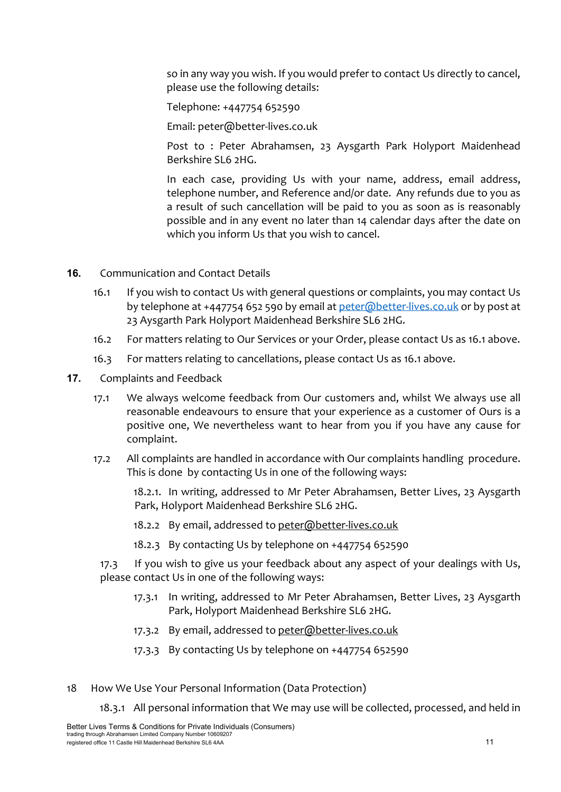so in any way you wish. If you would prefer to contact Us directly to cancel, please use the following details:

Telephone: +447754 652590

Email: peter@better-lives.co.uk

Post to : Peter Abrahamsen, 23 Aysgarth Park Holyport Maidenhead Berkshire SL6 2HG.

In each case, providing Us with your name, address, email address, telephone number, and Reference and/or date. Any refunds due to you as a result of such cancellation will be paid to you as soon as is reasonably possible and in any event no later than 14 calendar days after the date on which you inform Us that you wish to cancel.

- **16.** Communication and Contact Details
	- 16.1 If you wish to contact Us with general questions or complaints, you may contact Us by telephone at +447754 652 590 by email at [peter@better-lives.co.uk](mailto:peter@better-lives.co.uk) or by post at 23 Aysgarth Park Holyport Maidenhead Berkshire SL6 2HG.
	- 16.2 For matters relating to Our Services or your Order, please contact Us as 16.1 above.
	- 16.3 For matters relating to cancellations, please contact Us as 16.1 above.
- **17.** Complaints and Feedback
	- 17.1 We always welcome feedback from Our customers and, whilst We always use all reasonable endeavours to ensure that your experience as a customer of Ours is a positive one, We nevertheless want to hear from you if you have any cause for complaint.
	- 17.2 All complaints are handled in accordance with Our complaints handling procedure. This is done by contacting Us in one of the following ways:

18.2.1. In writing, addressed to Mr Peter Abrahamsen, Better Lives, 23 Aysgarth Park, Holyport Maidenhead Berkshire SL6 2HG.

- 18.2.2 By email, addressed to peter@better-lives.co.uk
- 18.2.3 By contacting Us by telephone on +447754 652590

17.3 If you wish to give us your feedback about any aspect of your dealings with Us, please contact Us in one of the following ways:

- 17.3.1 In writing, addressed to Mr Peter Abrahamsen, Better Lives, 23 Aysgarth Park, Holyport Maidenhead Berkshire SL6 2HG.
- 17.3.2 By email, addressed to peter@better-lives.co.uk
- 17.3.3 By contacting Us by telephone on +447754 652590
- 18 How We Use Your Personal Information (Data Protection)

18.3.1 All personal information that We may use will be collected, processed, and held in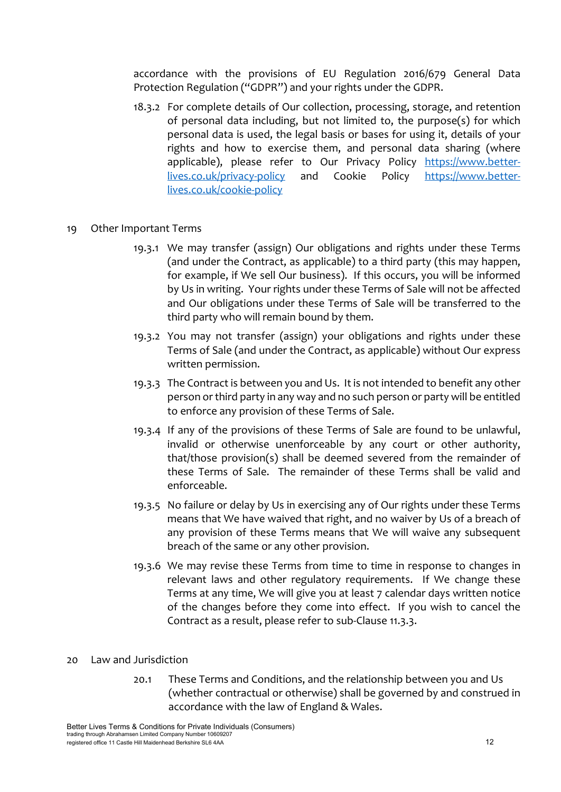accordance with the provisions of EU Regulation 2016/679 General Data Protection Regulation ("GDPR") and your rights under the GDPR.

18.3.2 For complete details of Our collection, processing, storage, and retention of personal data including, but not limited to, the purpose(s) for which personal data is used, the legal basis or bases for using it, details of your rights and how to exercise them, and personal data sharing (where applicable), please refer to Our Privacy Policy [https://www.better](https://www.better-lives.co.uk/privacy-policy)[lives.co.uk/privacy-policy](https://www.better-lives.co.uk/privacy-policy) and Cookie Policy [https://www.better](https://www.better-lives.co.uk/cookie-policy)[lives.co.uk/cookie-policy](https://www.better-lives.co.uk/cookie-policy)

#### 19 Other Important Terms

- 19.3.1 We may transfer (assign) Our obligations and rights under these Terms (and under the Contract, as applicable) to a third party (this may happen, for example, if We sell Our business). If this occurs, you will be informed by Us in writing. Your rights under these Terms of Sale will not be affected and Our obligations under these Terms of Sale will be transferred to the third party who will remain bound by them.
- 19.3.2 You may not transfer (assign) your obligations and rights under these Terms of Sale (and under the Contract, as applicable) without Our express written permission.
- 19.3.3 The Contract is between you and Us. It is not intended to benefit any other person or third party in any way and no such person or party will be entitled to enforce any provision of these Terms of Sale.
- 19.3.4 If any of the provisions of these Terms of Sale are found to be unlawful, invalid or otherwise unenforceable by any court or other authority, that/those provision(s) shall be deemed severed from the remainder of these Terms of Sale. The remainder of these Terms shall be valid and enforceable.
- 19.3.5 No failure or delay by Us in exercising any of Our rights under these Terms means that We have waived that right, and no waiver by Us of a breach of any provision of these Terms means that We will waive any subsequent breach of the same or any other provision.
- 19.3.6 We may revise these Terms from time to time in response to changes in relevant laws and other regulatory requirements. If We change these Terms at any time, We will give you at least 7 calendar days written notice of the changes before they come into effect. If you wish to cancel the Contract as a result, please refer to sub-Clause 11.3.3.

#### 20 Law and Jurisdiction

20.1 These Terms and Conditions, and the relationship between you and Us (whether contractual or otherwise) shall be governed by and construed in accordance with the law of England & Wales.